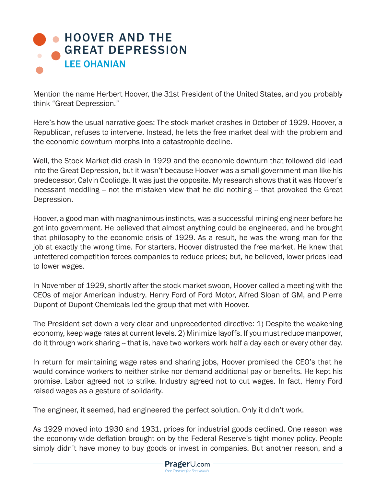## **HOOVER AND THE** [GREAT DEPRESSION](http://www.prageru.com/History/Hoover-and-the-Great-Depression.html) LEE OHANIAN

Mention the name Herbert Hoover, the 31st President of the United States, and you probably think "Great Depression."

Here's how the usual narrative goes: The stock market crashes in October of 1929. Hoover, a Republican, refuses to intervene. Instead, he lets the free market deal with the problem and the economic downturn morphs into a catastrophic decline.

Well, the Stock Market did crash in 1929 and the economic downturn that followed did lead into the Great Depression, but it wasn't because Hoover was a small government man like his predecessor, Calvin Coolidge. It was just the opposite. My research shows that it was Hoover's incessant meddling -- not the mistaken view that he did nothing -- that provoked the Great Depression.

Hoover, a good man with magnanimous instincts, was a successful mining engineer before he got into government. He believed that almost anything could be engineered, and he brought that philosophy to the economic crisis of 1929. As a result, he was the wrong man for the job at exactly the wrong time. For starters, Hoover distrusted the free market. He knew that unfettered competition forces companies to reduce prices; but, he believed, lower prices lead to lower wages.

In November of 1929, shortly after the stock market swoon, Hoover called a meeting with the CEOs of major American industry. Henry Ford of Ford Motor, Alfred Sloan of GM, and Pierre Dupont of Dupont Chemicals led the group that met with Hoover.

The President set down a very clear and unprecedented directive: 1) Despite the weakening economy, keep wage rates at current levels. 2) Minimize layoffs. If you must reduce manpower, do it through work sharing -- that is, have two workers work half a day each or every other day.

In return for maintaining wage rates and sharing jobs, Hoover promised the CEO's that he would convince workers to neither strike nor demand additional pay or benefits. He kept his promise. Labor agreed not to strike. Industry agreed not to cut wages. In fact, Henry Ford raised wages as a gesture of solidarity.

The engineer, it seemed, had engineered the perfect solution. Only it didn't work.

As 1929 moved into 1930 and 1931, prices for industrial goods declined. One reason was the economy-wide deflation brought on by the Federal Reserve's tight money policy. People simply didn't have money to buy goods or invest in companies. But another reason, and a